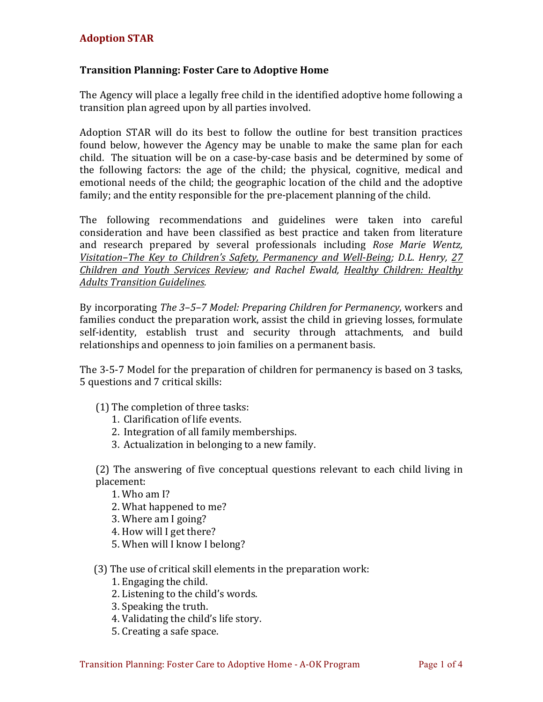## **Adoption STAR**

### **Transition Planning: Foster Care to Adoptive Home**

The Agency will place a legally free child in the identified adoptive home following a transition plan agreed upon by all parties involved.

Adoption STAR will do its best to follow the outline for best transition practices found below, however the Agency may be unable to make the same plan for each child. The situation will be on a case-by-case basis and be determined by some of the following factors: the age of the child; the physical, cognitive, medical and emotional needs of the child; the geographic location of the child and the adoptive family; and the entity responsible for the pre-placement planning of the child.

The following recommendations and guidelines were taken into careful consideration and have been classified as best practice and taken from literature and research prepared by several professionals including *Rose Marie Wentz*, *Visitation–The Key to Children's Safety, Permanency and Well-Being; D.L. Henry, 27 Children and Youth Services Review; and Rachel Ewald, Healthy Children: Healthy Adults Transition Guidelines.*

By incorporating *The 3-5-7 Model: Preparing Children for Permanency*, workers and families conduct the preparation work, assist the child in grieving losses, formulate self-identity, establish trust and security through attachments, and build relationships and openness to join families on a permanent basis.

The 3-5-7 Model for the preparation of children for permanency is based on 3 tasks, 5 questions and 7 critical skills:

- $(1)$  The completion of three tasks:
	- 1. Clarification of life events.
	- 2. Integration of all family memberships.
	- 3. Actualization in belonging to a new family.

(2) The answering of five conceptual questions relevant to each child living in placement:

1. Who am I?

- 2. What happened to me?
- 3. Where am I going?
- 4. How will I get there?
- 5. When will I know I belong?

(3) The use of critical skill elements in the preparation work:

- 1. Engaging the child.
- 2. Listening to the child's words.
- 3. Speaking the truth.
- 4. Validating the child's life story.
- 5. Creating a safe space.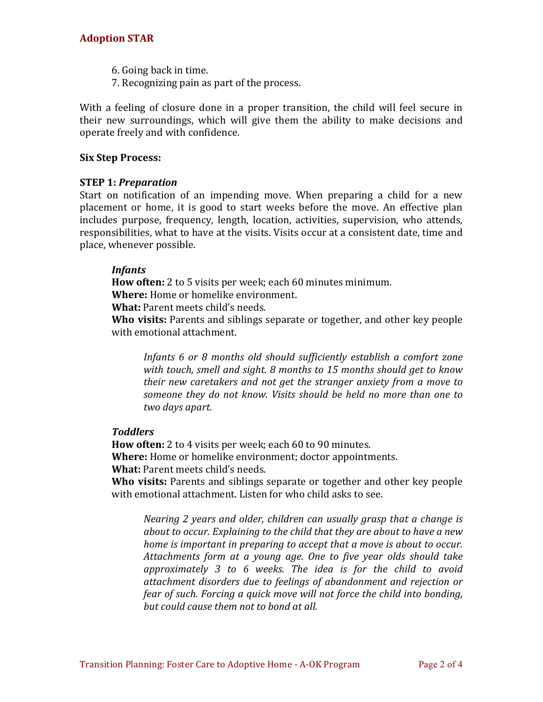- 6. Going back in time.
- 7. Recognizing pain as part of the process.

With a feeling of closure done in a proper transition, the child will feel secure in their new surroundings, which will give them the ability to make decisions and operate freely and with confidence.

# **Six Step Process:**

# **STEP 1: Preparation**

Start on notification of an impending move. When preparing a child for a new placement or home, it is good to start weeks before the move. An effective plan includes purpose, frequency, length, location, activities, supervision, who attends, responsibilities, what to have at the visits. Visits occur at a consistent date, time and place, whenever possible.

# *Infants*

**How often:** 2 to 5 visits per week; each 60 minutes minimum.

**Where:** Home or homelike environment.

**What:** Parent meets child's needs.

**Who visits:** Parents and siblings separate or together, and other key people with emotional attachment.

*Infants* 6 or 8 months old should sufficiently establish a comfort zone with touch, *smell and sight.* 8 months to 15 months should get to know *their new caretakers and not get the stranger anxiety from a move to* someone they do not know. Visits should be held no more than one to *two days apart.*

## *Toddlers*

**How often:** 2 to 4 visits per week; each 60 to 90 minutes. **Where:** Home or homelike environment; doctor appointments.

**What:** Parent meets child's needs.

**Who visits:** Parents and siblings separate or together and other key people with emotional attachment. Listen for who child asks to see.

*Nearing* 2 years and older, children can usually grasp that a change is *about to occur. Explaining to the child that they are about to have a new home is important in preparing to accept that a move is about to occur. Attachments form at a young age. One to five year olds should take approximately 3 to 6 weeks. The idea is for the child to avoid attachment disorders due to feelings of abandonment and rejection or fear of such. Forcing a quick move will not force the child into bonding, but could cause them not to bond at all.*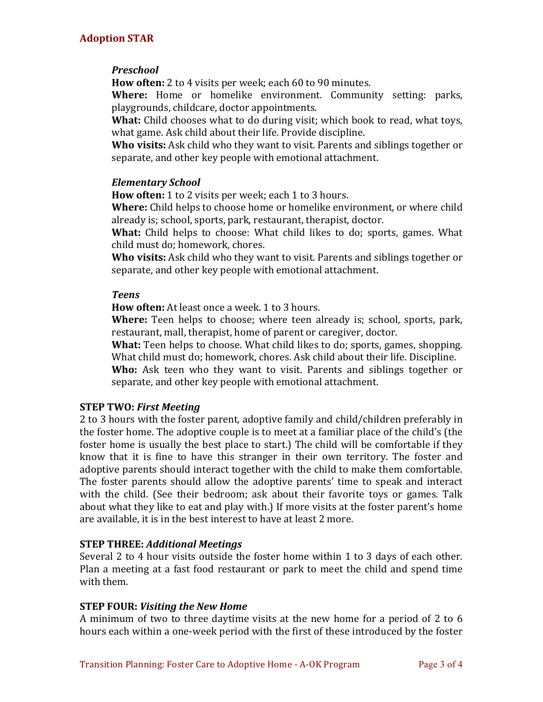#### *Preschool*

**How often:** 2 to 4 visits per week; each 60 to 90 minutes.

**Where:** Home or homelike environment. Community setting: parks, playgrounds, childcare, doctor appointments.

**What:** Child chooses what to do during visit; which book to read, what toys, what game. Ask child about their life. Provide discipline.

**Who visits:** Ask child who they want to visit. Parents and siblings together or separate, and other key people with emotional attachment.

#### *Elementary School*

**How often:** 1 to 2 visits per week; each 1 to 3 hours.

**Where:** Child helps to choose home or homelike environment, or where child already is; school, sports, park, restaurant, therapist, doctor.

**What:** Child helps to choose: What child likes to do; sports, games. What child must do: homework, chores.

**Who visits:** Ask child who they want to visit. Parents and siblings together or separate, and other key people with emotional attachment.

### *Teens*

**How often:** At least once a week. 1 to 3 hours.

**Where:** Teen helps to choose; where teen already is; school, sports, park, restaurant, mall, therapist, home of parent or caregiver, doctor.

**What:** Teen helps to choose. What child likes to do; sports, games, shopping. What child must do; homework, chores. Ask child about their life. Discipline.

**Who:** Ask teen who they want to visit. Parents and siblings together or separate, and other key people with emotional attachment.

### **STEP TWO: First Meeting**

2 to 3 hours with the foster parent, adoptive family and child/children preferably in the foster home. The adoptive couple is to meet at a familiar place of the child's (the foster home is usually the best place to start.) The child will be comfortable if they know that it is fine to have this stranger in their own territory. The foster and adoptive parents should interact together with the child to make them comfortable. The foster parents should allow the adoptive parents' time to speak and interact with the child. (See their bedroom; ask about their favorite toys or games. Talk about what they like to eat and play with.) If more visits at the foster parent's home are available, it is in the best interest to have at least 2 more.

## **STEP THREE:** *Additional Meetings*

Several 2 to 4 hour visits outside the foster home within 1 to 3 days of each other. Plan a meeting at a fast food restaurant or park to meet the child and spend time with them.

#### **STEP FOUR: Visiting the New Home**

A minimum of two to three daytime visits at the new home for a period of 2 to 6 hours each within a one-week period with the first of these introduced by the foster